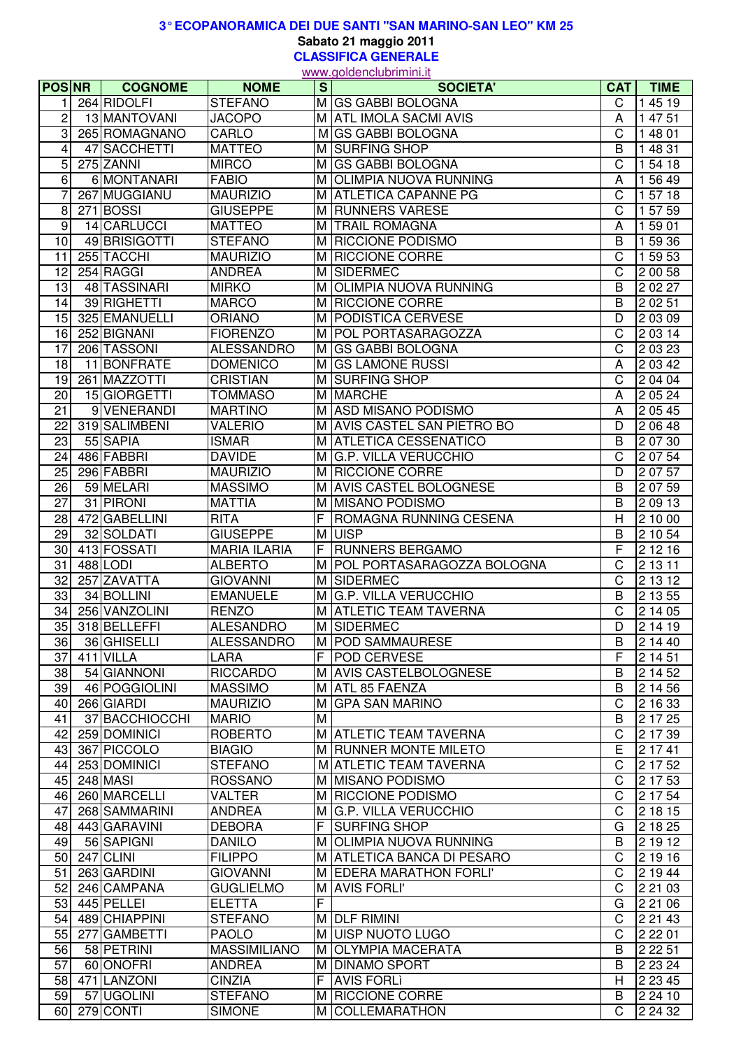## **Sabato 21 maggio 2011 3° ECOPANORAMICA DEI DUE SANTI "SAN MARINO-SAN LEO" KM 25**

**CLASSIFICA GENERALE** www.goldenclubrimini.it

| <b>POSNR</b>    | <b>COGNOME</b> | <b>NOME</b>         | s <sub>1</sub> | go.aoo.ao<br><b>SOCIETA'</b> | CAT                     | <b>TIME</b>      |
|-----------------|----------------|---------------------|----------------|------------------------------|-------------------------|------------------|
|                 | 264 RIDOLFI    | <b>STEFANO</b>      |                | M GS GABBI BOLOGNA           | C                       | 1 45 19          |
| $\overline{c}$  | 13 MANTOVANI   | <b>JACOPO</b>       |                | M ATL IMOLA SACMI AVIS       | A                       | 1 47 51          |
| 3               | 265 ROMAGNANO  | CARLO               |                | M GS GABBI BOLOGNA           | $\overline{C}$          | 1 48 01          |
| 4               | 47 SACCHETTI   | <b>MATTEO</b>       |                | M SURFING SHOP               | B                       | 1 48 31          |
| 5               | 275 ZANNI      | <b>MIRCO</b>        |                | M GS GABBI BOLOGNA           | $\overline{C}$          | 1 54 18          |
| 6               | 6 MONTANARI    | <b>FABIO</b>        |                | M OLIMPIA NUOVA RUNNING      | A                       | 1 56 49          |
|                 | 267 MUGGIANU   | <b>MAURIZIO</b>     |                | M ATLETICA CAPANNE PG        | C                       | 1 57 18          |
| 8               | 271 BOSSI      | <b>GIUSEPPE</b>     |                | M RUNNERS VARESE             | C                       | 1 57 59          |
| 9               | 14 CARLUCCI    | <b>MATTEO</b>       |                | M TRAIL ROMAGNA              | A                       | 1 59 01          |
| 10              | 49 BRISIGOTTI  | <b>STEFANO</b>      |                | M RICCIONE PODISMO           | B                       | 1 59 36          |
| 11              | 255 TACCHI     | <b>MAURIZIO</b>     |                | M RICCIONE CORRE             | C                       | 1 59 53          |
| $\overline{12}$ | 254 RAGGI      | <b>ANDREA</b>       |                | M SIDERMEC                   | C                       | 2 00 58          |
| $\overline{13}$ | 48 TASSINARI   | <b>MIRKO</b>        | M l            | <b>OLIMPIA NUOVA RUNNING</b> | $\overline{B}$          | 2 0 2 2 7        |
| 14              | 39 RIGHETTI    | <b>MARCO</b>        |                | M RICCIONE CORRE             | B                       | 2 02 51          |
| 15              | 325 EMANUELLI  | <b>ORIANO</b>       |                | M PODISTICA CERVESE          | D                       | 2 03 09          |
| 16              | 252 BIGNANI    | <b>FIORENZO</b>     |                | M POL PORTASARAGOZZA         | $\overline{\mathrm{C}}$ | 2 03 14          |
| $\overline{17}$ | 206 TASSONI    | <b>ALESSANDRO</b>   |                | M GS GABBI BOLOGNA           | C                       | 2 03 23          |
|                 | 11 BONFRATE    |                     |                |                              |                         |                  |
| $\overline{18}$ |                | <b>DOMENICO</b>     |                | M GS LAMONE RUSSI            | Α                       | 2 03 42          |
| 19              | 261 MAZZOTTI   | <b>CRISTIAN</b>     |                | M SURFING SHOP               | C                       | $\sqrt{2}$ 04 04 |
| 20              | 15 GIORGETTI   | <b>TOMMASO</b>      |                | M MARCHE                     | A                       | 2 05 24          |
| 21              | 9 VENERANDI    | <b>MARTINO</b>      |                | M ASD MISANO PODISMO         | A                       | 2 05 45          |
| 22              | 319 SALIMBENI  | <b>VALERIO</b>      |                | M AVIS CASTEL SAN PIETRO BO  | D                       | $\sqrt{2}$ 06 48 |
| 23              | 55 SAPIA       | <b>ISMAR</b>        |                | M ATLETICA CESSENATICO       | B                       | 2 07 30          |
| 24              | 486 FABBRI     | <b>DAVIDE</b>       |                | M G.P. VILLA VERUCCHIO       | $\overline{C}$          | 2 07 54          |
| $\overline{25}$ | 296 FABBRI     | <b>MAURIZIO</b>     |                | M RICCIONE CORRE             | D                       | 2 07 57          |
| 26              | 59 MELARI      | <b>MASSIMO</b>      |                | M AVIS CASTEL BOLOGNESE      | B                       | 2 07 59          |
| $\overline{27}$ | 31 PIRONI      | <b>MATTIA</b>       |                | M MISANO PODISMO             | B                       | 2 09 13          |
| 28              | 472 GABELLINI  | <b>RITA</b>         | F              | ROMAGNA RUNNING CESENA       | H                       | 2 10 00          |
| $\overline{29}$ | 32 SOLDATI     | <b>GIUSEPPE</b>     | M              | <b>UISP</b>                  | B                       | 2 10 54          |
| 30              | 413 FOSSATI    | <b>MARIA ILARIA</b> | F.             | <b>RUNNERS BERGAMO</b>       | F                       | 2 1 2 1 6        |
| 31              | 488 LODI       | <b>ALBERTO</b>      |                | M POL PORTASARAGOZZA BOLOGNA | C                       | 2 13 11          |
| 32              | 257 ZAVATTA    | <b>GIOVANNI</b>     |                | M SIDERMEC                   | C                       | 2 13 12          |
| 33              | 34 BOLLINI     | <b>EMANUELE</b>     |                | M G.P. VILLA VERUCCHIO       | B                       | 2 13 55          |
| 34              | 256 VANZOLINI  | <b>RENZO</b>        |                | M ATLETIC TEAM TAVERNA       | C                       | 21405            |
| 35              | 318 BELLEFFI   | <b>ALESANDRO</b>    |                | M SIDERMEC                   | D                       | 2 14 19          |
| 36 <sup>1</sup> | 36 GHISELLI    | <b>ALESSANDRO</b>   |                | M   POD SAMMAURESE           | B.                      | 2 14 40          |
| 37              | 411 VILLA      | LARA                |                | F POD CERVESE                | F                       | 2 14 51          |
| 38              | 54 GIANNONI    | <b>RICCARDO</b>     |                | M AVIS CASTELBOLOGNESE       | B                       | 2 14 52          |
| 39              | 46 POGGIOLINI  | <b>MASSIMO</b>      |                | M ATL 85 FAENZA              | B                       | 2 14 56          |
| 40              | 266 GIARDI     | <b>MAURIZIO</b>     |                | M GPA SAN MARINO             | $\mathsf C$             | 2 16 33          |
| 41              | 37 BACCHIOCCHI | <b>MARIO</b>        | M              |                              | B                       | 21725            |
| 42              | 259 DOMINICI   | <b>ROBERTO</b>      |                | M ATLETIC TEAM TAVERNA       | C                       | 2 17 39          |
| 43              | 367 PICCOLO    | <b>BIAGIO</b>       |                | M RUNNER MONTE MILETO        | E                       | 2 17 41          |
| 44              | 253 DOMINICI   | <b>STEFANO</b>      |                | M ATLETIC TEAM TAVERNA       | C                       | 2 17 52          |
| 45              | 248 MASI       | <b>ROSSANO</b>      |                | M MISANO PODISMO             | C                       | 2 17 53          |
| 46              | 260 MARCELLI   | <b>VALTER</b>       |                | M RICCIONE PODISMO           | C                       | 2 17 54          |
| 47              | 268 SAMMARINI  | <b>ANDREA</b>       |                | M G.P. VILLA VERUCCHIO       | С                       | 2 18 15          |
| 48              | 443 GARAVINI   | <b>DEBORA</b>       |                | <b>F SURFING SHOP</b>        | G                       | 2 18 25          |
| 49              | 56 SAPIGNI     | <b>DANILO</b>       |                | M OLIMPIA NUOVA RUNNING      | B                       | 2 19 12          |
| 50              | 247 CLINI      | <b>FILIPPO</b>      |                | M ATLETICA BANCA DI PESARO   | C                       | 2 19 16          |
| 51              | 263 GARDINI    | <b>GIOVANNI</b>     |                | M EDERA MARATHON FORLI'      | C.                      | 2 19 44          |
| 52              | 246 CAMPANA    | <b>GUGLIELMO</b>    |                | M AVIS FORLI'                | C.                      | 2 21 03          |
| 53              | 445 PELLEI     | <b>ELETTA</b>       | F              |                              | G                       | 2 21 06          |
| 54              | 489 CHIAPPINI  | <b>STEFANO</b>      |                | M DLF RIMINI                 | C                       | 2 21 43          |
| 55              | 277 GAMBETTI   | <b>PAOLO</b>        |                | M UISP NUOTO LUGO            | C                       | 2 2 2 0 1        |
| 56              | 58 PETRINI     | <b>MASSIMILIANO</b> |                | M OLYMPIA MACERATA           | B                       | 2 2 2 5 1        |
| 57              | 60 ONOFRI      | <b>ANDREA</b>       |                | M DINAMO SPORT               | B                       | 2 2 3 2 4        |
| 58              | 471 LANZONI    | <b>CINZIA</b>       |                | F AVIS FORLI                 | H                       | 2 2 3 4 5        |
| 59              | 57 UGOLINI     | <b>STEFANO</b>      |                | M RICCIONE CORRE             | B                       | 2 24 10          |
|                 | 60 279 CONTI   | <b>SIMONE</b>       |                | M COLLEMARATHON              | C                       | 2 24 32          |